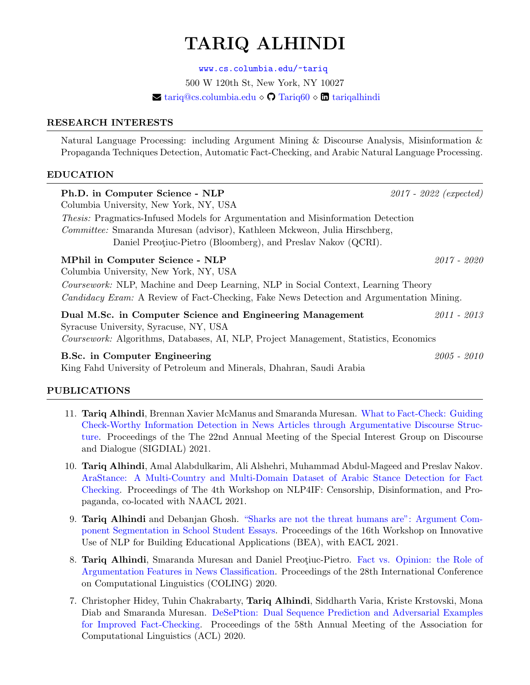# TARIQ ALHINDI

<www.cs.columbia.edu/~tariq> 500 W 120th St, New York, NY 10027  $\blacktriangleright$  tariq $@cs.c$ olumbia.edu  $\Diamond$   $\Box$  Tariq $60 \diamond$   $\Box$  [tariqalhindi](https://www.linkedin.com/in/tariqalhindi/)

#### RESEARCH INTERESTS

Natural Language Processing: including Argument Mining & Discourse Analysis, Misinformation & Propaganda Techniques Detection, Automatic Fact-Checking, and Arabic Natural Language Processing.

### EDUCATION

| Ph.D. in Computer Science - NLP<br>Columbia University, New York, NY, USA                                                                                                                                                                                          | $2017 - 2022$ (expected) |  |
|--------------------------------------------------------------------------------------------------------------------------------------------------------------------------------------------------------------------------------------------------------------------|--------------------------|--|
| <i>Thesis:</i> Pragmatics-Infused Models for Argumentation and Misinformation Detection<br>Committee: Smaranda Muresan (advisor), Kathleen Mckweon, Julia Hirschberg,<br>Daniel Preotiuc-Pietro (Bloomberg), and Preslav Nakov (QCRI).                             |                          |  |
| MPhil in Computer Science - NLP<br>Columbia University, New York, NY, USA<br>Coursework: NLP, Machine and Deep Learning, NLP in Social Context, Learning Theory<br><i>Candidacy Exam:</i> A Review of Fact-Checking, Fake News Detection and Argumentation Mining. | 2017 - 2020              |  |
| Dual M.Sc. in Computer Science and Engineering Management<br>Syracuse University, Syracuse, NY, USA<br>Coursework: Algorithms, Databases, AI, NLP, Project Management, Statistics, Economics                                                                       | $2011 - 2013$            |  |
| B.Sc. in Computer Engineering<br>King Fahd University of Petroleum and Minerals, Dhahran, Saudi Arabia                                                                                                                                                             | $2005 - 2010$            |  |

## PUBLICATIONS

- 11. Tariq Alhindi, Brennan Xavier McManus and Smaranda Muresan. [What to Fact-Check: Guiding](https://aclanthology.org/2021.sigdial-1.40.pdf) [Check-Worthy Information Detection in News Articles through Argumentative Discourse Struc](https://aclanthology.org/2021.sigdial-1.40.pdf)[ture.](https://aclanthology.org/2021.sigdial-1.40.pdf) Proceedings of the The 22nd Annual Meeting of the Special Interest Group on Discourse and Dialogue (SIGDIAL) 2021.
- 10. Tariq Alhindi, Amal Alabdulkarim, Ali Alshehri, Muhammad Abdul-Mageed and Preslav Nakov. [AraStance: A Multi-Country and Multi-Domain Dataset of Arabic Stance Detection for Fact](https://www.aclweb.org/anthology/2021.nlp4if-1.9.pdf) [Checking.](https://www.aclweb.org/anthology/2021.nlp4if-1.9.pdf) Proceedings of The 4th Workshop on NLP4IF: Censorship, Disinformation, and Propaganda, co-located with NAACL 2021.
- 9. Tariq Alhindi and Debanjan Ghosh. ["Sharks are not the threat humans are": Argument Com](https://www.aclweb.org/anthology/2021.bea-1.22.pdf)[ponent Segmentation in School Student Essays.](https://www.aclweb.org/anthology/2021.bea-1.22.pdf) Proceedings of the 16th Workshop on Innovative Use of NLP for Building Educational Applications (BEA), with EACL 2021.
- 8. Tariq Alhindi, Smaranda Muresan and Daniel Preotiuc-Pietro. [Fact vs. Opinion: the Role of](https://aclanthology.org/2020.coling-main.540.pdf) [Argumentation Features in News Classification.](https://aclanthology.org/2020.coling-main.540.pdf) Proceedings of the 28th International Conference on Computational Linguistics (COLING) 2020.
- 7. Christopher Hidey, Tuhin Chakrabarty, Tariq Alhindi, Siddharth Varia, Kriste Krstovski, Mona Diab and Smaranda Muresan. [DeSePtion: Dual Sequence Prediction and Adversarial Examples](https://www.aclweb.org/anthology/2020.acl-main.761.pdf) [for Improved Fact-Checking.](https://www.aclweb.org/anthology/2020.acl-main.761.pdf) Proceedings of the 58th Annual Meeting of the Association for Computational Linguistics (ACL) 2020.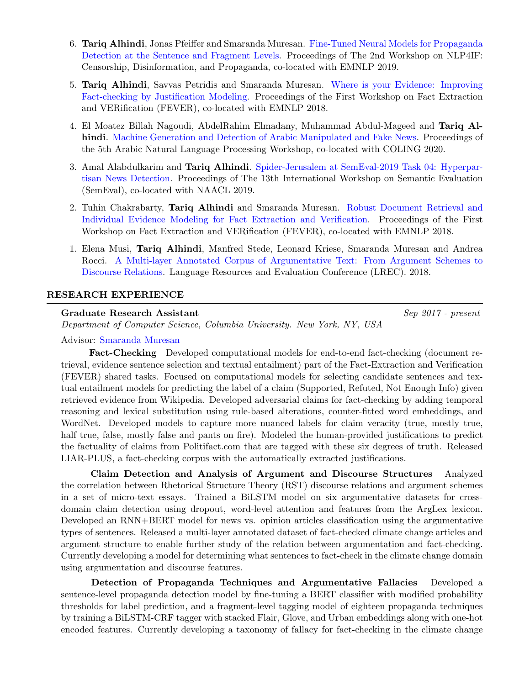- 6. Tariq Alhindi, Jonas Pfeiffer and Smaranda Muresan. [Fine-Tuned Neural Models for Propaganda](https://www.aclweb.org/anthology/D19-5013.pdf) [Detection at the Sentence and Fragment Levels.](https://www.aclweb.org/anthology/D19-5013.pdf) Proceedings of The 2nd Workshop on NLP4IF: Censorship, Disinformation, and Propaganda, co-located with EMNLP 2019.
- 5. Tariq Alhindi, Savvas Petridis and Smaranda Muresan. [Where is your Evidence: Improving](http://aclweb.org/anthology/W18-5513.pdf) [Fact-checking by Justification Modeling.](http://aclweb.org/anthology/W18-5513.pdf) Proceedings of the First Workshop on Fact Extraction and VERification (FEVER), co-located with EMNLP 2018.
- 4. El Moatez Billah Nagoudi, AbdelRahim Elmadany, Muhammad Abdul-Mageed and Tariq Al-hindi. [Machine Generation and Detection of Arabic Manipulated and Fake News.](https://www.aclweb.org/anthology/2020.wanlp-1.7.pdf) Proceedings of the 5th Arabic Natural Language Processing Workshop, co-located with COLING 2020.
- 3. Amal Alabdulkarim and Tariq Alhindi. [Spider-Jerusalem at SemEval-2019 Task 04: Hyperpar](https://www.aclweb.org/anthology/S19-2170.pdf)[tisan News Detection.](https://www.aclweb.org/anthology/S19-2170.pdf) Proceedings of The 13th International Workshop on Semantic Evaluation (SemEval), co-located with NAACL 2019.
- 2. Tuhin Chakrabarty, Tariq Alhindi and Smaranda Muresan. [Robust Document Retrieval and](https://aclanthology.org/W18-5521.pdf) [Individual Evidence Modeling for Fact Extraction and Verification.](https://aclanthology.org/W18-5521.pdf) Proceedings of the First Workshop on Fact Extraction and VERification (FEVER), co-located with EMNLP 2018.
- 1. Elena Musi, Tariq Alhindi, Manfred Stede, Leonard Kriese, Smaranda Muresan and Andrea Rocci. [A Multi-layer Annotated Corpus of Argumentative Text: From Argument Schemes to](https://aclanthology.org/L18-1258.pdf) [Discourse Relations.](https://aclanthology.org/L18-1258.pdf) Language Resources and Evaluation Conference (LREC). 2018.

### RESEARCH EXPERIENCE

#### Graduate Research Assistant Sep 2017 - present

Department of Computer Science, Columbia University. New York, NY, USA

#### Advisor: [Smaranda Muresan](http://www.cs.columbia.edu/~smara/)

Fact-Checking Developed computational models for end-to-end fact-checking (document retrieval, evidence sentence selection and textual entailment) part of the Fact-Extraction and Verification (FEVER) shared tasks. Focused on computational models for selecting candidate sentences and textual entailment models for predicting the label of a claim (Supported, Refuted, Not Enough Info) given retrieved evidence from Wikipedia. Developed adversarial claims for fact-checking by adding temporal reasoning and lexical substitution using rule-based alterations, counter-fitted word embeddings, and WordNet. Developed models to capture more nuanced labels for claim veracity (true, mostly true, half true, false, mostly false and pants on fire). Modeled the human-provided justifications to predict the factuality of claims from Politifact.com that are tagged with these six degrees of truth. Released LIAR-PLUS, a fact-checking corpus with the automatically extracted justifications.

Claim Detection and Analysis of Argument and Discourse Structures Analyzed the correlation between Rhetorical Structure Theory (RST) discourse relations and argument schemes in a set of micro-text essays. Trained a BiLSTM model on six argumentative datasets for crossdomain claim detection using dropout, word-level attention and features from the ArgLex lexicon. Developed an RNN+BERT model for news vs. opinion articles classification using the argumentative types of sentences. Released a multi-layer annotated dataset of fact-checked climate change articles and argument structure to enable further study of the relation between argumentation and fact-checking. Currently developing a model for determining what sentences to fact-check in the climate change domain using argumentation and discourse features.

Detection of Propaganda Techniques and Argumentative Fallacies Developed a sentence-level propaganda detection model by fine-tuning a BERT classifier with modified probability thresholds for label prediction, and a fragment-level tagging model of eighteen propaganda techniques by training a BiLSTM-CRF tagger with stacked Flair, Glove, and Urban embeddings along with one-hot encoded features. Currently developing a taxonomy of fallacy for fact-checking in the climate change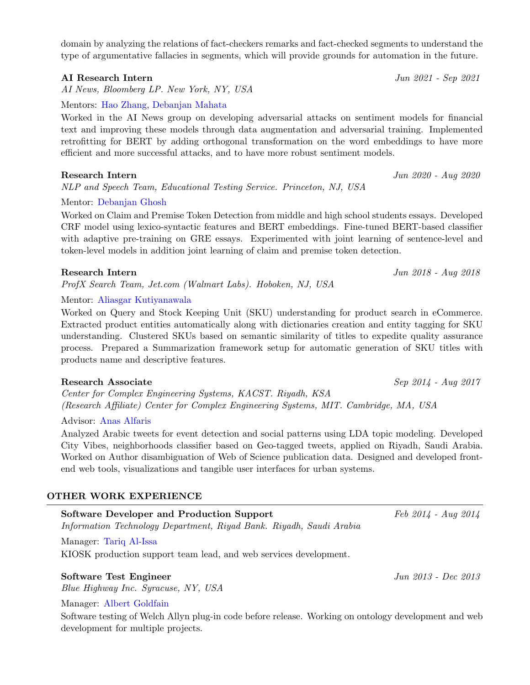domain by analyzing the relations of fact-checkers remarks and fact-checked segments to understand the type of argumentative fallacies in segments, which will provide grounds for automation in the future.

### AI Research Intern  $\frac{Jun \, 2021 - Sep \, 2021}{Jun \, 2021 - Sep \, 2021}$

AI News, Bloomberg LP. New York, NY, USA

Mentors: [Hao Zhang,](https://www.linkedin.com/in/princetonhaozhang/) [Debanjan Mahata](https://www.linkedin.com/in/debanjanmahata/)

Worked in the AI News group on developing adversarial attacks on sentiment models for financial text and improving these models through data augmentation and adversarial training. Implemented retrofitting for BERT by adding orthogonal transformation on the word embeddings to have more efficient and more successful attacks, and to have more robust sentiment models.

#### Research Intern Jun 2020 - Aug 2020

NLP and Speech Team, Educational Testing Service. Princeton, NJ, USA

### Mentor: [Debanjan Ghosh](https://www.linkedin.com/in/debanjan-ghosh-188611ba/)

Worked on Claim and Premise Token Detection from middle and high school students essays. Developed CRF model using lexico-syntactic features and BERT embeddings. Fine-tuned BERT-based classifier with adaptive pre-training on GRE essays. Experimented with joint learning of sentence-level and token-level models in addition joint learning of claim and premise token detection.

#### Research Intern Jun 2018 - Aug 2018

ProfX Search Team, Jet.com (Walmart Labs). Hoboken, NJ, USA

Mentor: [Aliasgar Kutiyanawala](https://www.linkedin.com/in/kutiyanawala/)

Worked on Query and Stock Keeping Unit (SKU) understanding for product search in eCommerce. Extracted product entities automatically along with dictionaries creation and entity tagging for SKU understanding. Clustered SKUs based on semantic similarity of titles to expedite quality assurance process. Prepared a Summarization framework setup for automatic generation of SKU titles with products name and descriptive features.

### Research Associate Sep 2014 - Aug 2017

Center for Complex Engineering Systems, KACST. Riyadh, KSA (Research Affiliate) Center for Complex Engineering Systems, MIT. Cambridge, MA, USA

#### Advisor: [Anas Alfaris](https://www.linkedin.com/in/anas-alfaris-ph-d-63301a2/)

Analyzed Arabic tweets for event detection and social patterns using LDA topic modeling. Developed City Vibes, neighborhoods classifier based on Geo-tagged tweets, applied on Riyadh, Saudi Arabia. Worked on Author disambiguation of Web of Science publication data. Designed and developed frontend web tools, visualizations and tangible user interfaces for urban systems.

### OTHER WORK EXPERIENCE

| <b>Software Developer and Production Support</b>                    |  |  |  |
|---------------------------------------------------------------------|--|--|--|
| Information Technology Department, Riyad Bank. Riyadh, Saudi Arabia |  |  |  |
| Manager: Tariq Al-Issa                                              |  |  |  |

KIOSK production support team lead, and web services development.

## Software Test Engineer  $\frac{Jun \; 2013 - Dec \; 2013}{Jun \; 2013 - Dec \; 2013}$

Blue Highway Inc. Syracuse, NY, USA

### Manager: [Albert Goldfain](https://www.linkedin.com/in/albert-goldfain-80899b48/)

Software testing of Welch Allyn plug-in code before release. Working on ontology development and web development for multiple projects.

 $Feb 2014 - Aug 2014$